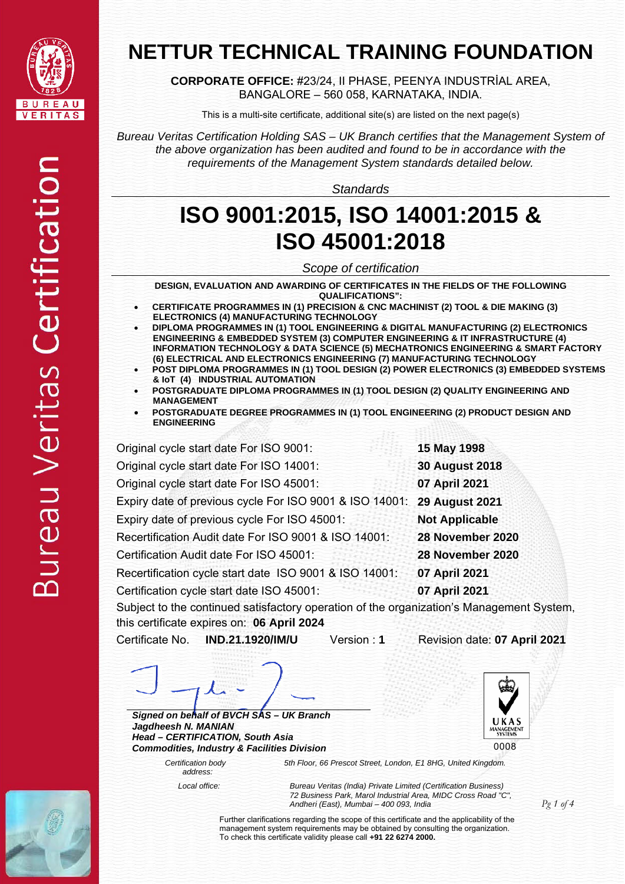

**CORPORATE OFFICE:** #23/24, II PHASE, PEENYA INDUSTRİAL AREA, BANGALORE – 560 058, KARNATAKA, INDIA.

This is a multi-site certificate, additional site(s) are listed on the next page(s)

*Bureau Veritas Certification Holding SAS – UK Branch certifies that the Management System of the above organization has been audited and found to be in accordance with the requirements of the Management System standards detailed below.*

*Standards*

## **ISO 9001:2015, ISO 14001:2015 & ISO 45001:2018**

*Scope of certification* 

**DESIGN, EVALUATION AND AWARDING OF CERTIFICATES IN THE FIELDS OF THE FOLLOWING QUALIFICATIONS":** 

- **CERTIFICATE PROGRAMMES IN (1) PRECISION & CNC MACHINIST (2) TOOL & DIE MAKING (3) ELECTRONICS (4) MANUFACTURING TECHNOLOGY**
- **DIPLOMA PROGRAMMES IN (1) TOOL ENGINEERING & DIGITAL MANUFACTURING (2) ELECTRONICS ENGINEERING & EMBEDDED SYSTEM (3) COMPUTER ENGINEERING & IT INFRASTRUCTURE (4) INFORMATION TECHNOLOGY & DATA SCIENCE (5) MECHATRONICS ENGINEERING & SMART FACTORY (6) ELECTRICAL AND ELECTRONICS ENGINEERING (7) MANUFACTURING TECHNOLOGY**
- **POST DIPLOMA PROGRAMMES IN (1) TOOL DESIGN (2) POWER ELECTRONICS (3) EMBEDDED SYSTEMS & IoT (4) INDUSTRIAL AUTOMATION**
- **POSTGRADUATE DIPLOMA PROGRAMMES IN (1) TOOL DESIGN (2) QUALITY ENGINEERING AND MANAGEMENT**
- **POSTGRADUATE DEGREE PROGRAMMES IN (1) TOOL ENGINEERING (2) PRODUCT DESIGN AND ENGINEERING**

| Original cycle start date For ISO 9001:                                        | 15 May 1998           |
|--------------------------------------------------------------------------------|-----------------------|
| Original cycle start date For ISO 14001:                                       | <b>30 August 2018</b> |
| Original cycle start date For ISO 45001:                                       | 07 April 2021         |
| Expiry date of previous cycle For ISO 9001 & ISO 14001: 29 August 2021         |                       |
| Expiry date of previous cycle For ISO 45001:                                   | <b>Not Applicable</b> |
| Recertification Audit date For ISO 9001 & ISO 14001:                           | 28 November 2020      |
| Certification Audit date For ISO 45001:                                        | 28 November 2020      |
| Recertification cycle start date ISO 9001 & ISO 14001:                         | 07 April 2021         |
| Certification cycle start date ISO 45001:                                      | 07 April 2021         |
| Subject to the continued satisfactory operation of the organization's Manageme |                       |

L 0008

Subject to the continued satisfactory operation of the organization's Management System, this certificate expires on: **06 April 2024**

Certificate No. **IND.21.1920/IM/U** Version : **1** Revision date: **07 April 2021** 

*Signed on behalf of BVCH SAS – UK Branch Jagdheesh N. MANIAN Head – CERTIFICATION, South Asia Commodities, Industry & Facilities Division* 

> *Certification body address:*

*5th Floor, 66 Prescot Street, London, E1 8HG, United Kingdom.* 

 *Local office: Bureau Veritas (India) Private Limited (Certification Business) 72 Business Park, Marol Industrial Area, MIDC Cross Road "C", Andheri (East), Mumbai – 400 093, India* 

> Further clarifications regarding the scope of this certificate and the applicability of the management system requirements may be obtained by consulting the organization. To check this certificate validity please call **+91 22 6274 2000.**

*Pg 1 of 4*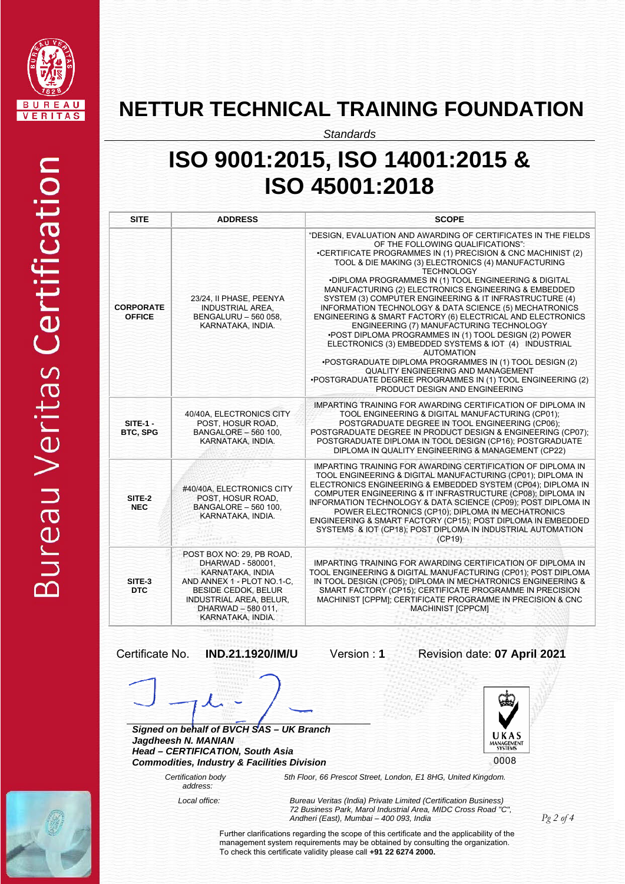

*Standards*

# **ISO 9001:2015, ISO 14001:2015 & ISO 45001:2018**

| <b>SITE</b>                       | <b>ADDRESS</b>                                                                                                                                                                                              | <b>SCOPE</b>                                                                                                                                                                                                                                                                                                                                                                                                                                                                                                                                                                                                                                                                                                                                                                                                                                                                                                                              |
|-----------------------------------|-------------------------------------------------------------------------------------------------------------------------------------------------------------------------------------------------------------|-------------------------------------------------------------------------------------------------------------------------------------------------------------------------------------------------------------------------------------------------------------------------------------------------------------------------------------------------------------------------------------------------------------------------------------------------------------------------------------------------------------------------------------------------------------------------------------------------------------------------------------------------------------------------------------------------------------------------------------------------------------------------------------------------------------------------------------------------------------------------------------------------------------------------------------------|
| <b>CORPORATE</b><br><b>OFFICE</b> | 23/24, II PHASE, PEENYA<br><b>INDUSTRIAL AREA.</b><br>BENGALURU - 560 058,<br>KARNATAKA, INDIA.                                                                                                             | "DESIGN, EVALUATION AND AWARDING OF CERTIFICATES IN THE FIELDS<br>OF THE FOLLOWING QUALIFICATIONS":<br>•CERTIFICATE PROGRAMMES IN (1) PRECISION & CNC MACHINIST (2)<br>TOOL & DIE MAKING (3) ELECTRONICS (4) MANUFACTURING<br><b>TECHNOLOGY</b><br>*DIPLOMA PROGRAMMES IN (1) TOOL ENGINEERING & DIGITAL<br>MANUFACTURING (2) ELECTRONICS ENGINEERING & EMBEDDED<br>SYSTEM (3) COMPUTER ENGINEERING & IT INFRASTRUCTURE (4)<br>INFORMATION TECHNOLOGY & DATA SCIENCE (5) MECHATRONICS<br>ENGINEERING & SMART FACTORY (6) ELECTRICAL AND ELECTRONICS<br>ENGINEERING (7) MANUFACTURING TECHNOLOGY<br>. POST DIPLOMA PROGRAMMES IN (1) TOOL DESIGN (2) POWER<br>ELECTRONICS (3) EMBEDDED SYSTEMS & IOT (4) INDUSTRIAL<br><b>AUTOMATION</b><br>.POSTGRADUATE DIPLOMA PROGRAMMES IN (1) TOOL DESIGN (2)<br>QUALITY ENGINEERING AND MANAGEMENT<br>•POSTGRADUATE DEGREE PROGRAMMES IN (1) TOOL ENGINEERING (2)<br>PRODUCT DESIGN AND ENGINEERING |
| $SITE-1 -$<br><b>BTC, SPG</b>     | 40/40A, ELECTRONICS CITY<br>POST. HOSUR ROAD.<br><b>BANGALORE - 560 100.</b><br>KARNATAKA, INDIA.                                                                                                           | IMPARTING TRAINING FOR AWARDING CERTIFICATION OF DIPLOMA IN<br>TOOL ENGINEERING & DIGITAL MANUFACTURING (CP01);<br>POSTGRADUATE DEGREE IN TOOL ENGINEERING (CP06);<br>POSTGRADUATE DEGREE IN PRODUCT DESIGN & ENGINEERING (CP07);<br>POSTGRADUATE DIPLOMA IN TOOL DESIGN (CP16); POSTGRADUATE<br>DIPLOMA IN QUALITY ENGINEERING & MANAGEMENT (CP22)                                                                                                                                                                                                                                                                                                                                                                                                                                                                                                                                                                                       |
| SITE-2<br><b>NEC</b>              | #40/40A, ELECTRONICS CITY<br>POST, HOSUR ROAD,<br><b>BANGALORE - 560 100.</b><br>KARNATAKA, INDIA.                                                                                                          | IMPARTING TRAINING FOR AWARDING CERTIFICATION OF DIPLOMA IN<br>TOOL ENGINEERING & DIGITAL MANUFACTURING (CP01); DIPLOMA IN<br>ELECTRONICS ENGINEERING & EMBEDDED SYSTEM (CP04); DIPLOMA IN<br>COMPUTER ENGINEERING & IT INFRASTRUCTURE (CP08); DIPLOMA IN<br>INFORMATION TECHNOLOGY & DATA SCIENCE (CP09); POST DIPLOMA IN<br>POWER ELECTRONICS (CP10); DIPLOMA IN MECHATRONICS<br>ENGINEERING & SMART FACTORY (CP15); POST DIPLOMA IN EMBEDDED<br>SYSTEMS & IOT (CP18); POST DIPLOMA IN INDUSTRIAL AUTOMATION<br>(CP19)                                                                                                                                                                                                                                                                                                                                                                                                                  |
| SITE-3<br><b>DTC</b>              | POST BOX NO: 29, PB ROAD,<br>DHARWAD - 580001,<br>KARNATAKA, INDIA<br>AND ANNEX 1 - PLOT NO.1-C.<br><b>BESIDE CEDOK, BELUR</b><br><b>INDUSTRIAL AREA, BELUR,</b><br>DHARWAD - 580 011.<br>KARNATAKA, INDIA. | IMPARTING TRAINING FOR AWARDING CERTIFICATION OF DIPLOMA IN<br>TOOL ENGINEERING & DIGITAL MANUFACTURING (CP01); POST DIPLOMA<br>IN TOOL DESIGN (CP05); DIPLOMA IN MECHATRONICS ENGINEERING &<br>SMART FACTORY (CP15); CERTIFICATE PROGRAMME IN PRECISION<br>MACHINIST [CPPM]; CERTIFICATE PROGRAMME IN PRECISION & CNC<br><b>MACHINIST [CPPCM]</b>                                                                                                                                                                                                                                                                                                                                                                                                                                                                                                                                                                                        |

*Signed on behalf of BVCH SAS – UK Branch* 

Certificate No. **IND.21.1920/IM/U** Version : **1** Revision date: **07 April 2021** 

UKAS **MANAGEMENT**<br>SYSTEMS 0008

Ļ

 *Certification body address:*

*Head – CERTIFICATION, South Asia Commodities, Industry & Facilities Division* 

*Jagdheesh N. MANIAN* 

*5th Floor, 66 Prescot Street, London, E1 8HG, United Kingdom.* 

 *Local office: Bureau Veritas (India) Private Limited (Certification Business) 72 Business Park, Marol Industrial Area, MIDC Cross Road "C", Andheri (East), Mumbai – 400 093, India* 

> Further clarifications regarding the scope of this certificate and the applicability of the management system requirements may be obtained by consulting the organization. To check this certificate validity please call **+91 22 6274 2000.**

*Pg 2 of 4*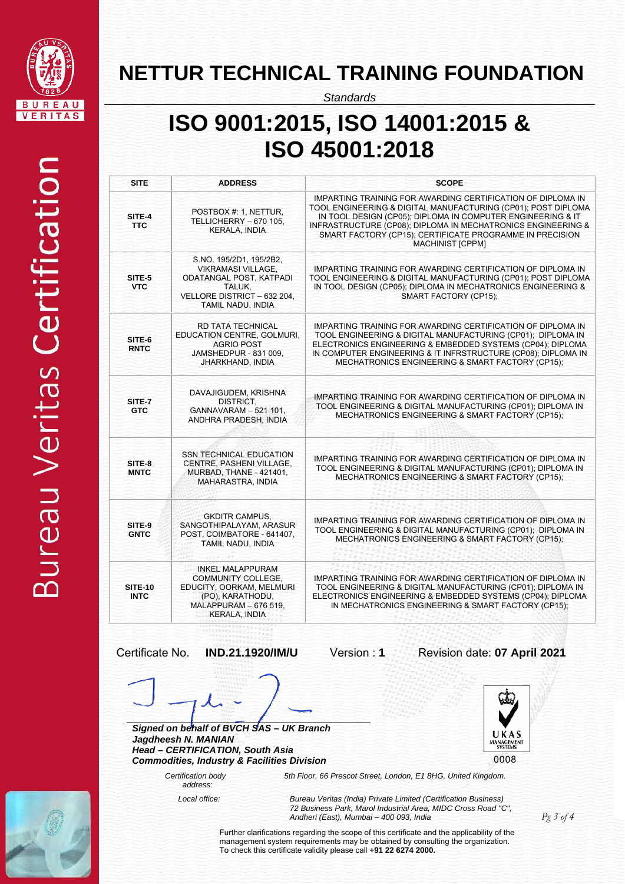

*Standards*

# **ISO 9001:2015, ISO 14001:2015 & ISO 45001:2018**

| <b>SITE</b>                   | <b>ADDRESS</b>                                                                                                                                        | <b>SCOPE</b>                                                                                                                                                                                                                                                                                                                                       |
|-------------------------------|-------------------------------------------------------------------------------------------------------------------------------------------------------|----------------------------------------------------------------------------------------------------------------------------------------------------------------------------------------------------------------------------------------------------------------------------------------------------------------------------------------------------|
| SITE-4<br><b>TTC</b>          | POSTBOX #: 1, NETTUR,<br>TELLICHERRY - 670 105.<br><b>KERALA, INDIA</b>                                                                               | IMPARTING TRAINING FOR AWARDING CERTIFICATION OF DIPLOMA IN<br>TOOL ENGINEERING & DIGITAL MANUFACTURING (CP01); POST DIPLOMA<br>IN TOOL DESIGN (CP05); DIPLOMA IN COMPUTER ENGINEERING & IT<br>INFRASTRUCTURE (CP08); DIPLOMA IN MECHATRONICS ENGINEERING &<br>SMART FACTORY (CP15); CERTIFICATE PROGRAMME IN PRECISION<br><b>MACHINIST [CPPM]</b> |
| SITE-5<br><b>VTC</b>          | S.NO. 195/2D1, 195/2B2,<br><b>VIKRAMASI VILLAGE.</b><br>ODATANGAL POST, KATPADI<br>TALUK.<br>VELLORE DISTRICT - 632 204,<br>TAMIL NADU, INDIA         | IMPARTING TRAINING FOR AWARDING CERTIFICATION OF DIPLOMA IN<br>TOOL ENGINEERING & DIGITAL MANUFACTURING (CP01); POST DIPLOMA<br>IN TOOL DESIGN (CP05); DIPLOMA IN MECHATRONICS ENGINEERING &<br><b>SMART FACTORY (CP15):</b>                                                                                                                       |
| SITE-6<br><b>RNTC</b>         | RD TATA TECHNICAL<br>EDUCATION CENTRE, GOLMURI,<br><b>AGRIO POST</b><br>JAMSHEDPUR - 831 009.<br>JHARKHAND, INDIA                                     | IMPARTING TRAINING FOR AWARDING CERTIFICATION OF DIPLOMA IN<br>TOOL ENGINEERING & DIGITAL MANUFACTURING (CP01); DIPLOMA IN<br>ELECTRONICS ENGINEERING & EMBEDDED SYSTEMS (CP04); DIPLOMA<br>IN COMPUTER ENGINEERING & IT INFRSTRUCTURE (CP08); DIPLOMA IN<br>MECHATRONICS ENGINEERING & SMART FACTORY (CP15);                                      |
| SITE-7<br><b>GTC</b>          | DAVAJIGUDEM, KRISHNA<br>DISTRICT,<br>GANNAVARAM - 521 101,<br>ANDHRA PRADESH, INDIA                                                                   | IMPARTING TRAINING FOR AWARDING CERTIFICATION OF DIPLOMA IN<br>TOOL ENGINEERING & DIGITAL MANUFACTURING (CP01); DIPLOMA IN<br>MECHATRONICS ENGINEERING & SMART FACTORY (CP15);                                                                                                                                                                     |
| SITE-8<br><b>MNTC</b>         | <b>SSN TECHNICAL EDUCATION</b><br>CENTRE, PASHENI VILLAGE,<br>MURBAD, THANE - 421401,<br>MAHARASTRA, INDIA                                            | IMPARTING TRAINING FOR AWARDING CERTIFICATION OF DIPLOMA IN<br>TOOL ENGINEERING & DIGITAL MANUFACTURING (CP01); DIPLOMA IN<br>MECHATRONICS ENGINEERING & SMART FACTORY (CP15);                                                                                                                                                                     |
| SITE-9<br><b>GNTC</b>         | <b>GKDITR CAMPUS,</b><br>SANGOTHIPALAYAM, ARASUR<br>POST. COIMBATORE - 641407.<br>TAMIL NADU, INDIA                                                   | IMPARTING TRAINING FOR AWARDING CERTIFICATION OF DIPLOMA IN<br>TOOL ENGINEERING & DIGITAL MANUFACTURING (CP01): DIPLOMA IN<br>MECHATRONICS ENGINEERING & SMART FACTORY (CP15);                                                                                                                                                                     |
| <b>SITE-10</b><br><b>INTC</b> | <b>INKEL MALAPPURAM</b><br><b>COMMUNITY COLLEGE.</b><br>EDUCITY, OORKAM, MELMURI<br>(PO), KARATHODU,<br>MALAPPURAM - 676 519.<br><b>KERALA, INDIA</b> | IMPARTING TRAINING FOR AWARDING CERTIFICATION OF DIPLOMA IN<br>TOOL ENGINEERING & DIGITAL MANUFACTURING (CP01); DIPLOMA IN<br>ELECTRONICS ENGINEERING & EMBEDDED SYSTEMS (CP04); DIPLOMA<br>IN MECHATRONICS ENGINEERING & SMART FACTORY (CP15);                                                                                                    |

#### Certificate No. **IND.21.1920/IM/U** Version : **1** Revision date: **07 April 2021**

*Signed on behalf of BVCH SAS – UK Branch* 

*Jagdheesh N. MANIAN Head – CERTIFICATION, South Asia Commodities, Industry & Facilities Division* 

 *Certification body* 



 $\overline{a}$ 

 *address:*

*5th Floor, 66 Prescot Street, London, E1 8HG, United Kingdom.* 

 *Local office: Bureau Veritas (India) Private Limited (Certification Business) 72 Business Park, Marol Industrial Area, MIDC Cross Road "C", Andheri (East), Mumbai – 400 093, India* 

*Pg 3 of 4* 

Further clarifications regarding the scope of this certificate and the applicability of the management system requirements may be obtained by consulting the organization. To check this certificate validity please call **+91 22 6274 2000.**